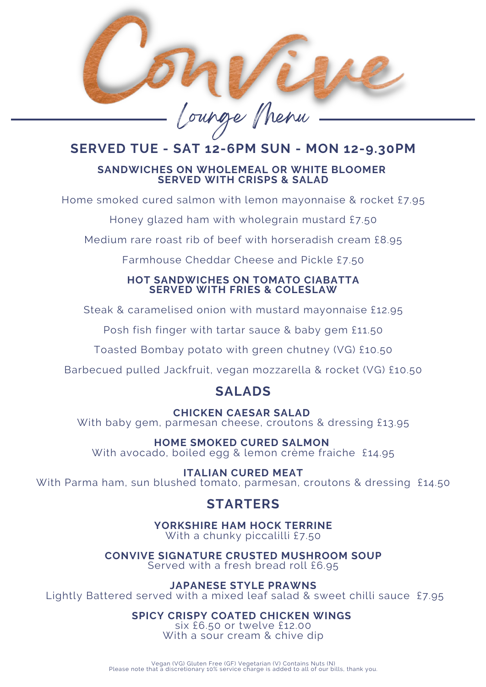

# **SERVED TUE - SAT 12-6PM SUN - MON 12-9.30PM**

#### **SANDWICHES ON WHOLEMEAL OR WHITE BLOOMER SERVED WITH CRISPS & SALAD**

Home smoked cured salmon with lemon mayonnaise & rocket £7.95

Honey glazed ham with wholegrain mustard £7.50

Medium rare roast rib of beef with horseradish cream £8.95

Farmhouse Cheddar Cheese and Pickle £7.50

#### **HOT SANDWICHES ON TOMATO CIABATTA SERVED WITH FRIES & COLESLAW**

Steak & caramelised onion with mustard mayonnaise £12.95

Posh fish finger with tartar sauce & baby gem £11.50

Toasted Bombay potato with green chutney (VG) £10.50

Barbecued pulled Jackfruit, vegan mozzarella & rocket (VG) £10.50

# **SALADS**

### **CHICKEN CAESAR SALAD**

With baby gem, parmesan cheese, croutons & dressing £13.95

**HOME SMOKED CURED SALMON**

With avocado, boiled egg & lemon crème fraiche £14.95

#### **ITALIAN CURED MEAT**

With Parma ham, sun blushed tomato, parmesan, croutons & dressing £14.50

# **STARTERS**

**YORKSHIRE HAM HOCK TERRINE** With a chunky piccalilli £7.50

**CONVIVE SIGNATURE CRUSTED MUSHROOM SOUP** Served with a fresh bread roll £6.95

**JAPANESE STYLE PRAWNS**

Lightly Battered served with a mixed leaf salad & sweet chilli sauce £7.95

## **SPICY CRISPY COATED CHICKEN WINGS**

six £6.50 or twelve £12.00 With a sour cream & chive dip

Vegan (VG) Gluten Free (GF) Vegetarian (V) Contains Nuts (N) Please note that a discretionary 10% service charge is added to all of our bills, thank you.